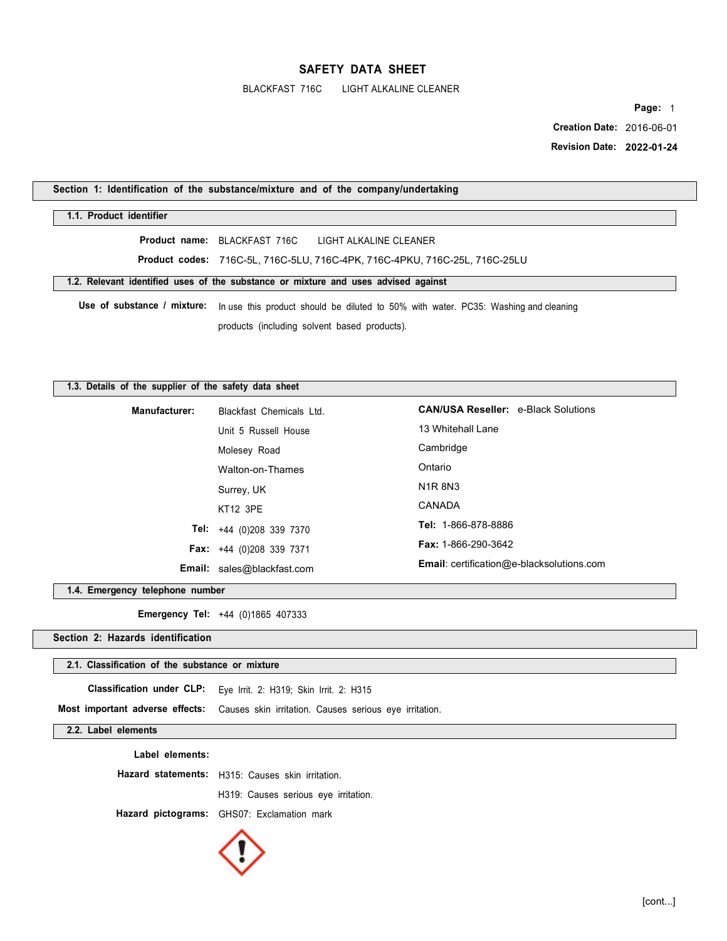BLACKFAST 716C LIGHT ALKALINE CLEANER

**Page:** 1

 **Creation Date:** 2016-06-01  **Revision Date: 2022-01-24**

**Section 1: Identification of the substance/mixture and of the company/undertaking** 

## **1.1. Product identifier**

**Product name:** BLACKFAST 716C LIGHT ALKALINE CLEANER

**Product codes:** 716C-5L, 716C-5LU, 716C-4PK, 716C-4PKU, 716C-25L, 716C-25LU

**1.2. Relevant identified uses of the substance or mixture and uses advised against** 

**Use of substance / mixture:** In use this product should be diluted to 50% with water. PC35: Washing and cleaning products (including solvent based products).

### **1.3. Details of the supplier of the safety data sheet**

| Manufacturer: | Blackfast Chemicals Ltd.          | <b>CAN/USA Reseller: e-Black Solutions</b>       |  |
|---------------|-----------------------------------|--------------------------------------------------|--|
|               | Unit 5 Russell House              | 13 Whitehall Lane                                |  |
|               | Molesey Road                      | Cambridge                                        |  |
|               | Walton-on-Thames                  | Ontario                                          |  |
|               | Surrey, UK                        | <b>N1R8N3</b>                                    |  |
|               | <b>KT12 3PE</b>                   | CANADA                                           |  |
|               | <b>Tel:</b> $+44$ (0)208 339 7370 | <b>Tel: 1-866-878-8886</b>                       |  |
|               | <b>Fax:</b> $+44$ (0)208 339 7371 | <b>Fax: 1-866-290-3642</b>                       |  |
|               | <b>Email:</b> sales@blackfast.com | <b>Email:</b> certification@e-blacksolutions.com |  |

**1.4. Emergency telephone number** 

**Emergency Tel:** +44 (0)1865 407333

**Section 2: Hazards identification** 

### **2.1. Classification of the substance or mixture**

**Classification under CLP:** Eye Irrit. 2: H319; Skin Irrit. 2: H315

**Most important adverse effects:** Causes skin irritation. Causes serious eye irritation.

## **2.2. Label elements**

**Label elements:** 

**Hazard statements:** H315: Causes skin irritation.

H319: Causes serious eye irritation.

**Hazard pictograms:** GHS07: Exclamation mark

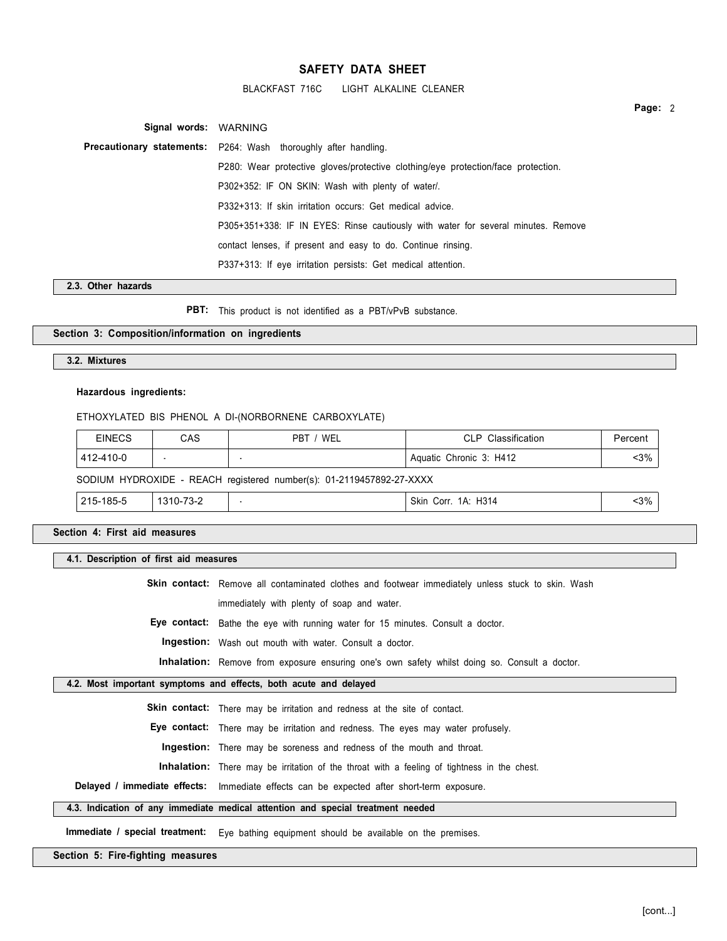BLACKFAST 716C LIGHT ALKALINE CLEANER

**Signal words:** WARNING **Precautionary statements:** P264: Wash thoroughly after handling. P280: Wear protective gloves/protective clothing/eye protection/face protection. P302+352: IF ON SKIN: Wash with plenty of water/. P332+313: If skin irritation occurs: Get medical advice. P305+351+338: IF IN EYES: Rinse cautiously with water for several minutes. Remove contact lenses, if present and easy to do. Continue rinsing. P337+313: If eye irritation persists: Get medical attention.

**2.3. Other hazards** 

**PBT:** This product is not identified as a PBT/vPvB substance.

## **Section 3: Composition/information on ingredients**

### **3.2. Mixtures**

### **Hazardous ingredients:**

### ETHOXYLATED BIS PHENOL A DI-(NORBORNENE CARBOXYLATE)

| <b>EINECS</b>                                                        | CAS       | PBT / WEL | CLP Classification      | Percent |
|----------------------------------------------------------------------|-----------|-----------|-------------------------|---------|
| 412-410-0                                                            |           |           | Aquatic Chronic 3: H412 | $3%$    |
| SODIUM HYDROXIDE - REACH registered number(s): 01-2119457892-27-XXXX |           |           |                         |         |
| 215-185-5                                                            | 1310-73-2 |           | Skin Corr. 1A: H314     | $3%$    |

**Section 4: First aid measures** 

### **4.1. Description of first aid measures**

Skin contact: Remove all contaminated clothes and footwear immediately unless stuck to skin. Wash

immediately with plenty of soap and water.

**Eye contact:** Bathe the eye with running water for 15 minutes. Consult a doctor.

**Ingestion:** Wash out mouth with water. Consult a doctor.

**Inhalation:** Remove from exposure ensuring one's own safety whilst doing so. Consult a doctor.

### **4.2. Most important symptoms and effects, both acute and delayed**

**Skin contact:** There may be irritation and redness at the site of contact.

**Eye contact:** There may be irritation and redness. The eyes may water profusely.

**Ingestion:** There may be soreness and redness of the mouth and throat.

**Inhalation:** There may be irritation of the throat with a feeling of tightness in the chest.

**Delayed / immediate effects:** Immediate effects can be expected after short-term exposure.

## **4.3. Indication of any immediate medical attention and special treatment needed**

**Immediate / special treatment:** Eye bathing equipment should be available on the premises.

#### **Section 5: Fire-fighting measures**

**Page:** 2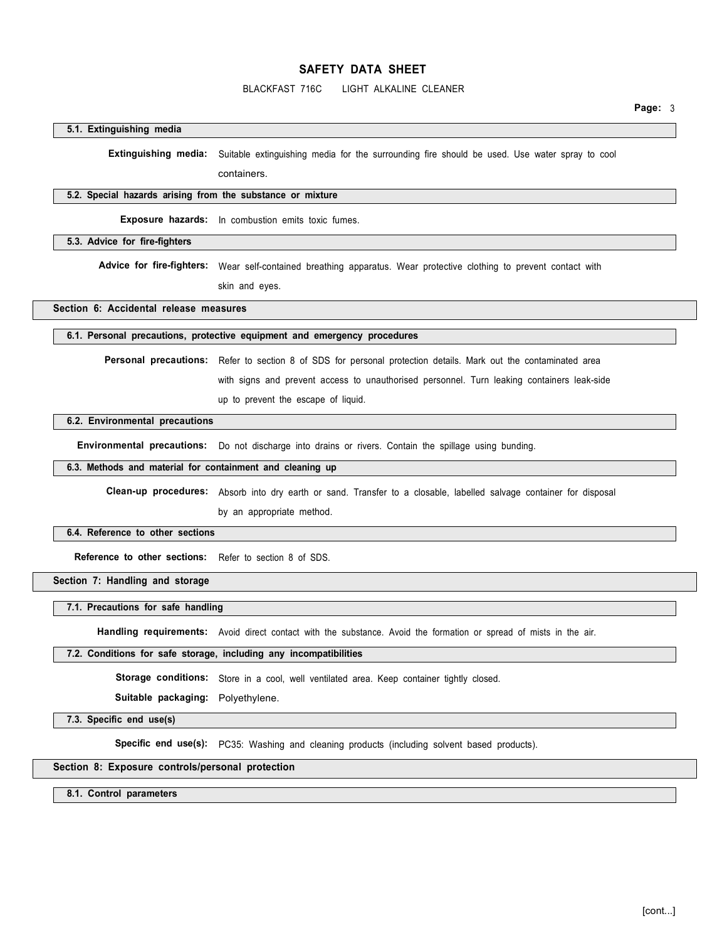## BLACKFAST 716C LIGHT ALKALINE CLEANER

### **5.1. Extinguishing media**

**Extinguishing media:** Suitable extinguishing media for the surrounding fire should be used. Use water spray to cool

containers.

## **5.2. Special hazards arising from the substance or mixture**

**Exposure hazards:** In combustion emits toxic fumes.

### **5.3. Advice for fire-fighters**

Advice for fire-fighters: Wear self-contained breathing apparatus. Wear protective clothing to prevent contact with

skin and eyes.

## **Section 6: Accidental release measures**

### **6.1. Personal precautions, protective equipment and emergency procedures**

**Personal precautions:** Refer to section 8 of SDS for personal protection details. Mark out the contaminated area

with signs and prevent access to unauthorised personnel. Turn leaking containers leak-side

up to prevent the escape of liquid.

## **6.2. Environmental precautions**

**Environmental precautions:** Do not discharge into drains or rivers. Contain the spillage using bunding.

**6.3. Methods and material for containment and cleaning up** 

**Clean-up procedures:** Absorb into dry earth or sand. Transfer to a closable, labelled salvage container for disposal by an appropriate method.

#### **6.4. Reference to other sections**

**Reference to other sections:** Refer to section 8 of SDS.

**Section 7: Handling and storage** 

## **7.1. Precautions for safe handling**

**Handling requirements:** Avoid direct contact with the substance. Avoid the formation or spread of mists in the air.

## **7.2. Conditions for safe storage, including any incompatibilities**

Storage conditions: Store in a cool, well ventilated area. Keep container tightly closed.

**Suitable packaging:** Polyethylene.

**7.3. Specific end use(s)** 

Specific end use(s): PC35: Washing and cleaning products (including solvent based products).

### **Section 8: Exposure controls/personal protection**

**8.1. Control parameters**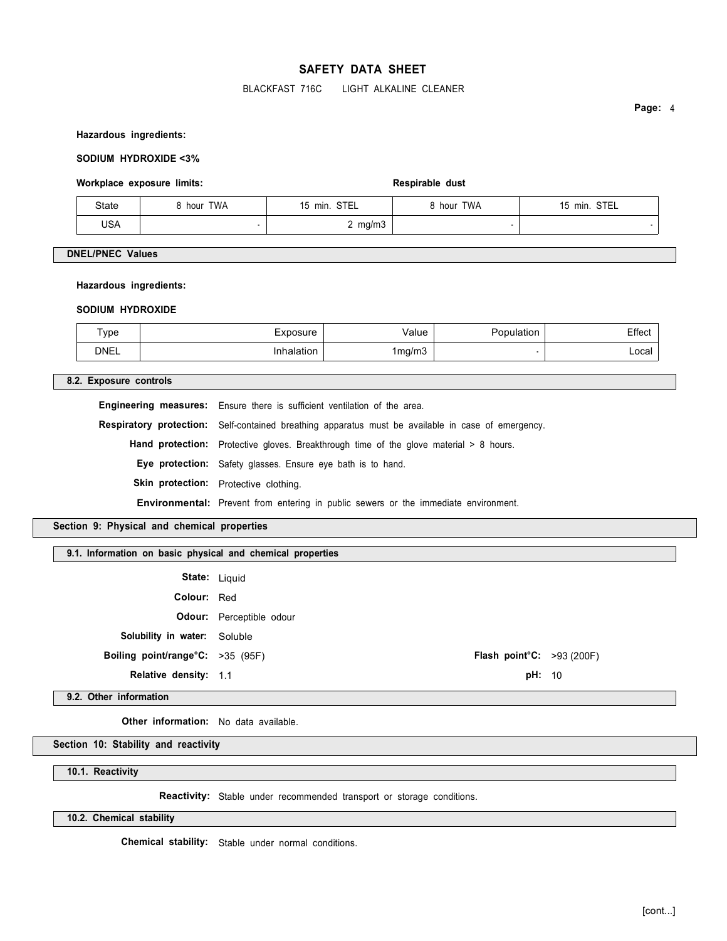## BLACKFAST 716C LIGHT ALKALINE CLEANER

**Page:** 4

#### **Hazardous ingredients:**

## **SODIUM HYDROXIDE <3%**

### Workplace exposure limits: **Respirable dust** Respirable dust

| State | hour TWA | 15 min. STEL | 3 hour TWA | STEL<br>$15$ min. |
|-------|----------|--------------|------------|-------------------|
| USA   |          | 2 mg/m3      |            |                   |

## **DNEL/PNEC Values**

#### **Hazardous ingredients:**

#### **SODIUM HYDROXIDE**

| ype         | xposure  | /alue<br>.  . | - - -<br>≞ttect |
|-------------|----------|---------------|-----------------|
| <b>DNEL</b> | ∖alatıon | 1mg/m3        | Local I         |

## **8.2. Exposure controls**

**Engineering measures:** Ensure there is sufficient ventilation of the area. **Respiratory protection:** Self-contained breathing apparatus must be available in case of emergency. Hand protection: Protective gloves. Breakthrough time of the glove material > 8 hours. **Eye protection:** Safety glasses. Ensure eye bath is to hand. Skin protection: Protective clothing. **Environmental:** Prevent from entering in public sewers or the immediate environment.

## **Section 9: Physical and chemical properties**

## **9.1. Information on basic physical and chemical properties**

**State:** Liquid

**Colour:** Red

**Odour:** Perceptible odour

**Solubility in water:** Soluble

**Boiling point/range°C:** >35 (95F) **Flash point°C:** >93 (200F)

**Relative density:** 1.1 **pH:** 10

**9.2. Other information** 

**Other information:** No data available.

# **Section 10: Stability and reactivity**

**10.1. Reactivity** 

**Reactivity:** Stable under recommended transport or storage conditions.

**10.2. Chemical stability** 

**Chemical stability:** Stable under normal conditions.

[cont...]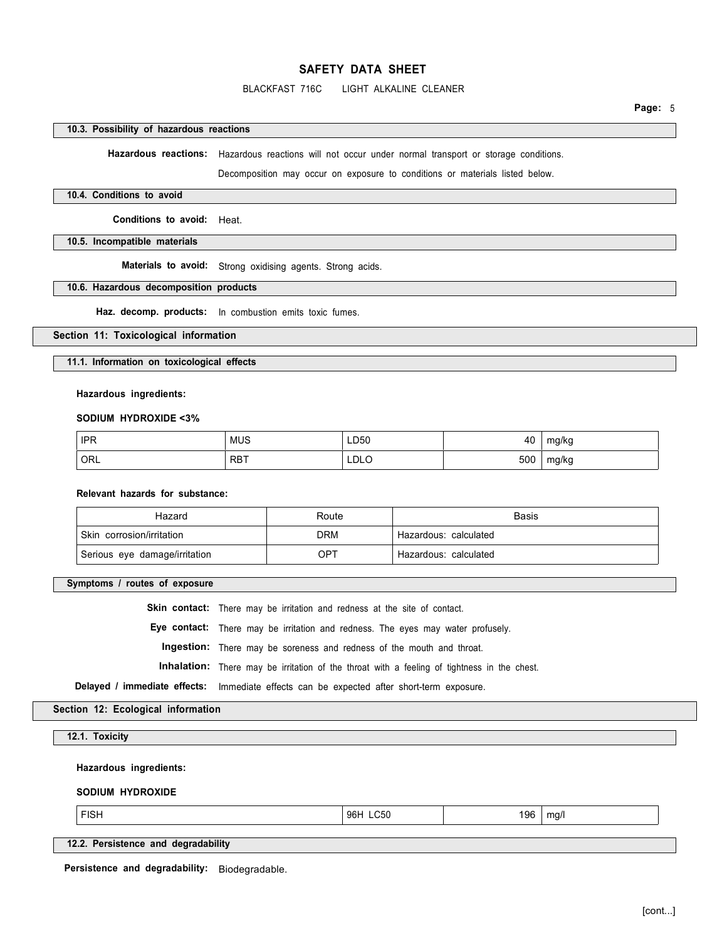## BLACKFAST 716C LIGHT ALKALINE CLEANER

**Page:** 5

### **10.3. Possibility of hazardous reactions**

**Hazardous reactions:** Hazardous reactions will not occur under normal transport or storage conditions.

Decomposition may occur on exposure to conditions or materials listed below.

## **10.4. Conditions to avoid**

**Conditions to avoid:** Heat.

**10.5. Incompatible materials** 

**Materials to avoid:** Strong oxidising agents. Strong acids.

### **10.6. Hazardous decomposition products**

**Haz. decomp. products:** In combustion emits toxic fumes.

### **Section 11: Toxicological information**

**11.1. Information on toxicological effects** 

**Hazardous ingredients:** 

**SODIUM HYDROXIDE <3%** 

| <b>IPR</b> | <b>MUS</b> | LD50        | 40  | mg/kg      |
|------------|------------|-------------|-----|------------|
| ORL '      | <b>RBT</b> | <b>LDLO</b> | 500 | mg/kg<br>J |

## **Relevant hazards for substance:**

| Hazard                        | Route | <b>Basis</b>            |
|-------------------------------|-------|-------------------------|
| Skin corrosion/irritation     | DRM   | ' Hazardous: calculated |
| Serious eye damage/irritation | OPT   | Hazardous: calculated   |

**Symptoms / routes of exposure** 

**Skin contact:** There may be irritation and redness at the site of contact. **Eye contact:** There may be irritation and redness. The eyes may water profusely. **Ingestion:** There may be soreness and redness of the mouth and throat. **Inhalation:** There may be irritation of the throat with a feeling of tightness in the chest. **Delayed / immediate effects:** Immediate effects can be expected after short-term exposure.

## **Section 12: Ecological information**

## **12.1. Toxicity**

**Hazardous ingredients:** 

## **SODIUM HYDROXIDE**

FISH 96H LC50 196 | mg/l

**12.2. Persistence and degradability** 

**Persistence and degradability:** Biodegradable.